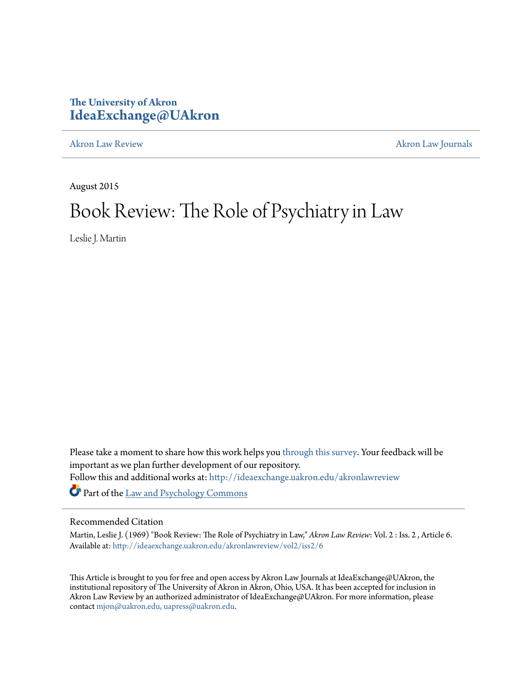# **The University of Akron [IdeaExchange@UAkron](http://ideaexchange.uakron.edu?utm_source=ideaexchange.uakron.edu%2Fakronlawreview%2Fvol2%2Fiss2%2F6&utm_medium=PDF&utm_campaign=PDFCoverPages)**

[Akron Law Review](http://ideaexchange.uakron.edu/akronlawreview?utm_source=ideaexchange.uakron.edu%2Fakronlawreview%2Fvol2%2Fiss2%2F6&utm_medium=PDF&utm_campaign=PDFCoverPages) [Akron Law Journals](http://ideaexchange.uakron.edu/akronlawjournals?utm_source=ideaexchange.uakron.edu%2Fakronlawreview%2Fvol2%2Fiss2%2F6&utm_medium=PDF&utm_campaign=PDFCoverPages)

August 2015

# Book Review: The Role of Psychiatry in Law

Leslie J. Martin

Please take a moment to share how this work helps you [through this survey.](http://survey.az1.qualtrics.com/SE/?SID=SV_eEVH54oiCbOw05f&URL=http://ideaexchange.uakron.edu/akronlawreview/vol2/iss2/6) Your feedback will be important as we plan further development of our repository. Follow this and additional works at: [http://ideaexchange.uakron.edu/akronlawreview](http://ideaexchange.uakron.edu/akronlawreview?utm_source=ideaexchange.uakron.edu%2Fakronlawreview%2Fvol2%2Fiss2%2F6&utm_medium=PDF&utm_campaign=PDFCoverPages) Part of the [Law and Psychology Commons](http://network.bepress.com/hgg/discipline/870?utm_source=ideaexchange.uakron.edu%2Fakronlawreview%2Fvol2%2Fiss2%2F6&utm_medium=PDF&utm_campaign=PDFCoverPages)

## Recommended Citation

Martin, Leslie J. (1969) "Book Review: The Role of Psychiatry in Law," *Akron Law Review*: Vol. 2 : Iss. 2 , Article 6. Available at: [http://ideaexchange.uakron.edu/akronlawreview/vol2/iss2/6](http://ideaexchange.uakron.edu/akronlawreview/vol2/iss2/6?utm_source=ideaexchange.uakron.edu%2Fakronlawreview%2Fvol2%2Fiss2%2F6&utm_medium=PDF&utm_campaign=PDFCoverPages)

This Article is brought to you for free and open access by Akron Law Journals at IdeaExchange@UAkron, the institutional repository of The University of Akron in Akron, Ohio, USA. It has been accepted for inclusion in Akron Law Review by an authorized administrator of IdeaExchange@UAkron. For more information, please contact [mjon@uakron.edu, uapress@uakron.edu.](mailto:mjon@uakron.edu,%20uapress@uakron.edu)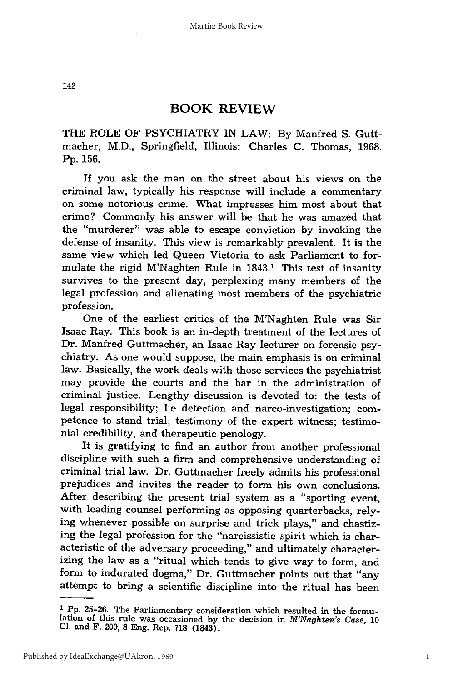142

### **BOOK REVIEW**

THE ROLE OF PSYCHIATRY IN LAW: By Manfred S. Guttmacher, M.D., Springfield, Illinois: Charles C. Thomas, 1968. Pp. 156.

If you ask the man on the street about his views on the criminal law, typically his response will include a commentary on some notorious crime. What impresses him most about that crime? Commonly his answer will be that he was amazed that the "murderer" was able to escape conviction by invoking the defense of insanity. This view is remarkably prevalent. It is the same view which led Queen Victoria to ask Parliament to formulate the rigid M'Naghten Rule in 1843.1 This test of insanity survives to the present day, perplexing many members of the legal profession and alienating most members of the psychiatric profession.

One of the earliest critics of the M'Naghten Rule was Sir Isaac Ray. This book is an in-depth treatment of the lectures of Dr. Manfred Guttmacher, an Isaac Ray lecturer on forensic psychiatry. As one would suppose, the main emphasis is on criminal law. Basically, the work deals with those services the psychiatrist may provide the courts and the bar in the administration of criminal justice. Lengthy discussion is devoted to: the tests of legal responsibility; lie detection and narco-investigation; competence to stand trial; testimony of the expert witness; testimonial credibility, and therapeutic penology.

It is gratifying to find an author from another professional discipline with such a firm and comprehensive understanding of criminal trial law. Dr. Guttmacher freely admits his professional prejudices and invites the reader to form his own conclusions. After describing the present trial system as a "sporting event, with leading counsel performing as opposing quarterbacks, relying whenever possible on surprise and trick plays," and chastizing the legal profession for the "narcissistic spirit which is characteristic of the adversary proceeding," and ultimately characterizing the law as a "ritual which tends to give way to form, and form to indurated dogma," Dr. Guttmacher points out that "any attempt to bring a scientific discipline into the ritual has been

**I Pp.** 25-26. The Parliamentary consideration which resulted in the formulation of this rule was occasioned by the decision in *M'Naghten's Case,* **10 Cl.** and F. 200, **8** Eng. Rep. **718** (1843).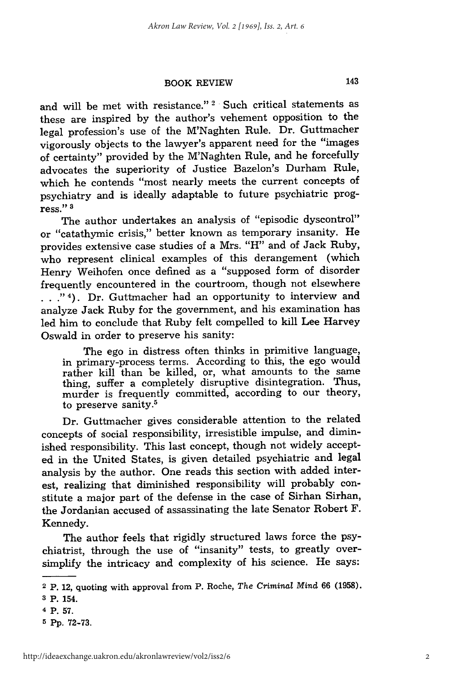#### BOOK REVIEW

and will be met with resistance."<sup>2</sup> Such critical statements as these are inspired by the author's vehement opposition to the legal profession's use of the M'Naghten Rule. Dr. Guttmacher vigorously objects to the lawyer's apparent need for the "images of certainty" provided by the M'Naghten Rule, and he forcefully advocates the superiority of Justice Bazelon's Durham Rule, which he contends "most nearly meets the current concepts of psychiatry and is ideally adaptable to future psychiatric progress." **3**

The author undertakes an analysis of "episodic dyscontrol" or "catathymic crisis," better known as temporary insanity. He provides extensive case studies of a Mrs. "H" and of Jack Ruby, who represent clinical examples of this derangement (which Henry Weihofen once defined as a "supposed form of disorder frequently encountered in the courtroom, though not elsewhere . . ."<sup>4</sup>). Dr. Guttmacher had an opportunity to interview and analyze Jack Ruby for the government, and his examination has led him to conclude that Ruby felt compelled to kill Lee Harvey Oswald in order to preserve his sanity:

The ego in distress often thinks in primitive language, in primary-process terms. According to this, the ego would rather kill than be killed, or, what amounts to the same thing, suffer a completely disruptive disintegration. Thus, murder is frequently committed, according to our theory, to preserve sanity.<sup>5</sup>

Dr. Guttmacher gives considerable attention to the related concepts of social responsibility, irresistible impulse, and diminished responsibility. This last concept, though not widely accepted in the United States, is given detailed psychiatric and legal analysis by the author. One reads this section with added interest, realizing that diminished responsibility will probably constitute a major part of the defense in the case of Sirhan Sirhan, the Jordanian accused of assassinating the late Senator Robert F. Kennedy.

The author feels that rigidly structured laws force the psychiatrist, through the use of "insanity" tests, to greatly oversimplify the intricacy and complexity of his science. He says:

<sup>2</sup> P. 12, quoting with approval from P. Roche, *The Criminal Mind* 66 (1958).

**<sup>3</sup>** P. 154.

**<sup>4</sup>** P. **57.**

**<sup>5</sup>** Pp. 72-73.